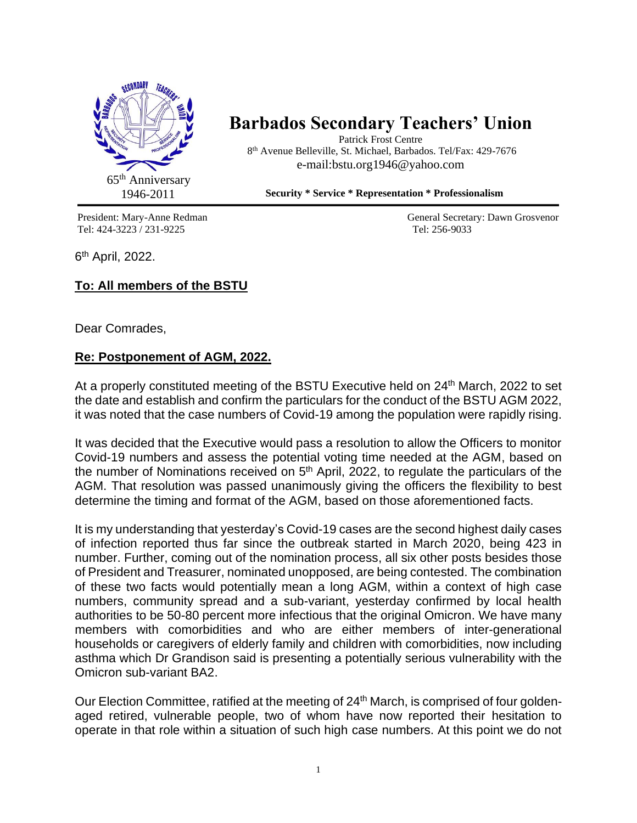

## **Barbados Secondary Teachers' Union**

Patrick Frost Centre 8 th Avenue Belleville, St. Michael, Barbados. Tel/Fax: 429-7676 e-mail:bstu.org1946@yahoo.com

 **Security \* Service \* Representation \* Professionalism**

Tel: 424-3223 / 231-9225 Tel: 256-9033

President: Mary-Anne Redman General Secretary: Dawn Grosvenor

6<sup>th</sup> April, 2022.

## **To: All members of the BSTU**

Dear Comrades,

## **Re: Postponement of AGM, 2022.**

At a properly constituted meeting of the BSTU Executive held on 24<sup>th</sup> March, 2022 to set the date and establish and confirm the particulars for the conduct of the BSTU AGM 2022, it was noted that the case numbers of Covid-19 among the population were rapidly rising.

It was decided that the Executive would pass a resolution to allow the Officers to monitor Covid-19 numbers and assess the potential voting time needed at the AGM, based on the number of Nominations received on  $5<sup>th</sup>$  April, 2022, to regulate the particulars of the AGM. That resolution was passed unanimously giving the officers the flexibility to best determine the timing and format of the AGM, based on those aforementioned facts.

It is my understanding that yesterday's Covid-19 cases are the second highest daily cases of infection reported thus far since the outbreak started in March 2020, being 423 in number. Further, coming out of the nomination process, all six other posts besides those of President and Treasurer, nominated unopposed, are being contested. The combination of these two facts would potentially mean a long AGM, within a context of high case numbers, community spread and a sub-variant, yesterday confirmed by local health authorities to be 50-80 percent more infectious that the original Omicron. We have many members with comorbidities and who are either members of inter-generational households or caregivers of elderly family and children with comorbidities, now including asthma which Dr Grandison said is presenting a potentially serious vulnerability with the Omicron sub-variant BA2.

Our Election Committee, ratified at the meeting of 24<sup>th</sup> March, is comprised of four goldenaged retired, vulnerable people, two of whom have now reported their hesitation to operate in that role within a situation of such high case numbers. At this point we do not